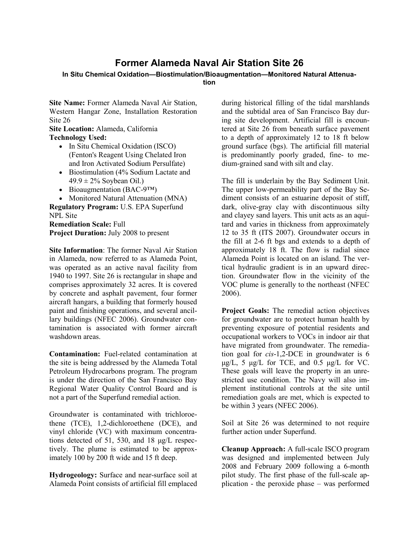# **Former Alameda Naval Air Station Site 26**

## **In Situ Chemical Oxidation—Biostimulation/Bioaugmentation—Monitored Natural Attenua-**

**tion**

**Site Name:** Former Alameda Naval Air Station, Western Hangar Zone, Installation Restoration Site 26

**Site Location:** Alameda, California **Technology Used:** 

- In Situ Chemical Oxidation (ISCO) (Fenton's Reagent Using Chelated Iron and Iron Activated Sodium Persulfate)
- Biostimulation (4% Sodium Lactate and  $49.9 \pm 2\%$  Soybean Oil.)
- Bioaugmentation (BAC-9™)
- Monitored Natural Attenuation (MNA)

**Regulatory Program:** U.S. EPA Superfund NPL Site

**Remediation Scale:** Full **Project Duration:** July 2008 to present

**Site Information**: The former Naval Air Station in Alameda, now referred to as Alameda Point, was operated as an active naval facility from 1940 to 1997. Site 26 is rectangular in shape and comprises approximately 32 acres. It is covered by concrete and asphalt pavement, four former aircraft hangars, a building that formerly housed paint and finishing operations, and several ancillary buildings (NFEC 2006). Groundwater contamination is associated with former aircraft washdown areas.

**Contamination:** Fuel-related contamination at the site is being addressed by the Alameda Total Petroleum Hydrocarbons program. The program is under the direction of the San Francisco Bay Regional Water Quality Control Board and is not a part of the Superfund remedial action.

Groundwater is contaminated with trichloroethene (TCE), 1,2-dichloroethene (DCE), and vinyl chloride (VC) with maximum concentrations detected of 51, 530, and 18 μg/L respectively. The plume is estimated to be approximately 100 by 200 ft wide and 15 ft deep.

**Hydrogeology:** Surface and near-surface soil at Alameda Point consists of artificial fill emplaced

during historical filling of the tidal marshlands and the subtidal area of San Francisco Bay during site development. Artificial fill is encountered at Site 26 from beneath surface pavement to a depth of approximately 12 to 18 ft below ground surface (bgs). The artificial fill material is predominantly poorly graded, fine- to medium-grained sand with silt and clay.

The fill is underlain by the Bay Sediment Unit. The upper low-permeability part of the Bay Sediment consists of an estuarine deposit of stiff, dark, olive-gray clay with discontinuous silty and clayey sand layers. This unit acts as an aquitard and varies in thickness from approximately 12 to 35 ft (ITS 2007). Groundwater occurs in the fill at 2-6 ft bgs and extends to a depth of approximately 18 ft. The flow is radial since Alameda Point is located on an island. The vertical hydraulic gradient is in an upward direction. Groundwater flow in the vicinity of the VOC plume is generally to the northeast (NFEC 2006).

**Project Goals:** The remedial action objectives for groundwater are to protect human health by preventing exposure of potential residents and occupational workers to VOCs in indoor air that have migrated from groundwater. The remediation goal for *cis*-1,2-DCE in groundwater is 6  $\mu$ g/L, 5  $\mu$ g/L for TCE, and 0.5  $\mu$ g/L for VC. These goals will leave the property in an unrestricted use condition. The Navy will also implement institutional controls at the site until remediation goals are met, which is expected to be within 3 years (NFEC 2006).

Soil at Site 26 was determined to not require further action under Superfund.

**Cleanup Approach:** A full-scale ISCO program was designed and implemented between July 2008 and February 2009 following a 6-month pilot study. The first phase of the full-scale application - the peroxide phase – was performed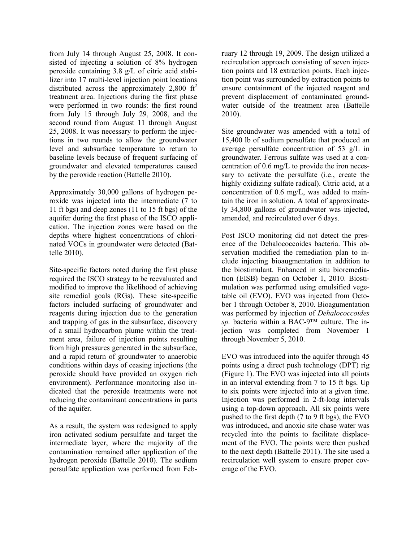from July 14 through August 25, 2008. It consisted of injecting a solution of 8% hydrogen peroxide containing 3.8 g/L of citric acid stabilizer into 17 multi-level injection point locations distributed across the approximately 2,800  $\text{ft}^2$ treatment area. Injections during the first phase were performed in two rounds: the first round from July 15 through July 29, 2008, and the second round from August 11 through August 25, 2008. It was necessary to perform the injections in two rounds to allow the groundwater level and subsurface temperature to return to baseline levels because of frequent surfacing of groundwater and elevated temperatures caused by the peroxide reaction (Battelle 2010).

Approximately 30,000 gallons of hydrogen peroxide was injected into the intermediate (7 to 11 ft bgs) and deep zones (11 to 15 ft bgs) of the aquifer during the first phase of the ISCO application. The injection zones were based on the depths where highest concentrations of chlorinated VOCs in groundwater were detected (Battelle 2010).

Site-specific factors noted during the first phase required the ISCO strategy to be reevaluated and modified to improve the likelihood of achieving site remedial goals (RGs). These site-specific factors included surfacing of groundwater and reagents during injection due to the generation and trapping of gas in the subsurface, discovery of a small hydrocarbon plume within the treatment area, failure of injection points resulting from high pressures generated in the subsurface, and a rapid return of groundwater to anaerobic conditions within days of ceasing injections (the peroxide should have provided an oxygen rich environment). Performance monitoring also indicated that the peroxide treatments were not reducing the contaminant concentrations in parts of the aquifer.

As a result, the system was redesigned to apply iron activated sodium persulfate and target the intermediate layer, where the majority of the contamination remained after application of the hydrogen peroxide (Battelle 2010). The sodium persulfate application was performed from February 12 through 19, 2009. The design utilized a recirculation approach consisting of seven injection points and 18 extraction points. Each injection point was surrounded by extraction points to ensure containment of the injected reagent and prevent displacement of contaminated groundwater outside of the treatment area (Battelle 2010).

Site groundwater was amended with a total of 15,400 lb of sodium persulfate that produced an average persulfate concentration of 53 g/L in groundwater. Ferrous sulfate was used at a concentration of 0.6 mg/L to provide the iron necessary to activate the persulfate (i.e., create the highly oxidizing sulfate radical). Citric acid, at a concentration of 0.6 mg/L, was added to maintain the iron in solution. A total of approximately 34,800 gallons of groundwater was injected, amended, and recirculated over 6 days.

Post ISCO monitoring did not detect the presence of the Dehalococcoides bacteria. This observation modified the remediation plan to include injecting bioaugmentation in addition to the biostimulant. Enhanced in situ bioremediation (EISB) began on October 1, 2010. Biostimulation was performed using emulsified vegetable oil (EVO). EVO was injected from October 1 through October 8, 2010. Bioagumentation was performed by injection of *Dehalococcoides sp.* bacteria within a BAC-9™ culture. The injection was completed from November 1 through November 5, 2010.

EVO was introduced into the aquifer through 45 points using a direct push technology (DPT) rig (Figure 1). The EVO was injected into all points in an interval extending from 7 to 15 ft bgs. Up to six points were injected into at a given time. Injection was performed in 2-ft-long intervals using a top-down approach. All six points were pushed to the first depth (7 to 9 ft bgs), the EVO was introduced, and anoxic site chase water was recycled into the points to facilitate displacement of the EVO. The points were then pushed to the next depth (Battelle 2011). The site used a recirculation well system to ensure proper coverage of the EVO.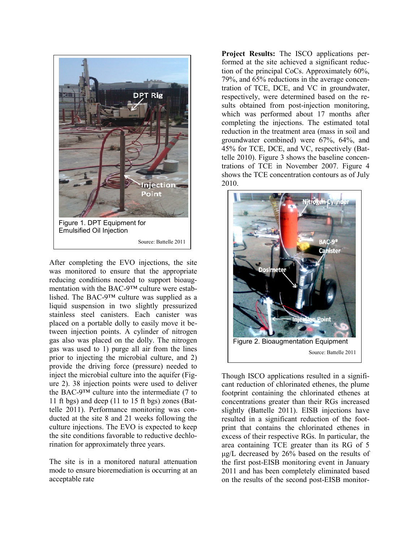

After completing the EVO injections, the site was monitored to ensure that the appropriate reducing conditions needed to support bioaugmentation with the BAC-9™ culture were established. The BAC-9™ culture was supplied as a liquid suspension in two slightly pressurized stainless steel canisters. Each canister was placed on a portable dolly to easily move it between injection points. A cylinder of nitrogen gas also was placed on the dolly. The nitrogen gas was used to 1) purge all air from the lines prior to injecting the microbial culture, and 2) provide the driving force (pressure) needed to inject the microbial culture into the aquifer (Figure 2). 38 injection points were used to deliver the BAC-9™ culture into the intermediate (7 to 11 ft bgs) and deep (11 to 15 ft bgs) zones (Battelle 2011). Performance monitoring was conducted at the site 8 and 21 weeks following the culture injections. The EVO is expected to keep the site conditions favorable to reductive dechlo rination for approximately three years.

The site is in a monitored natural attenuation mode to ensure bioremediation is occurring at an acceptable rate

**Project Results:** The ISCO applications performed at the site achieved a significant reduction of the principal CoCs. Approximately 60%, 79%, and 65% reductions in the average concentration of TCE, DCE, and VC in groundwater, respectively, were determined based on the results obtained from post-injection monitoring, which was performed about 17 months after completing the injections. The estimated total reduction in the treatment area (mass in soil and groundwater combined) were 67%, 64%, and 45% for TCE, DCE, and VC, respectively (Battelle 2010). Figure 3 shows the baseline concentrations of TCE in November 2007. Figure 4 shows the TCE concentration contours as of July 2010.



Though ISCO applications resulted in a significant reduction of chlorinated ethenes, the plume footprint containing the chlorinated ethenes at concentrations greater than their RGs increased slightly (Battelle 2011). EISB injections have resulted in a significant reduction of the footprint that contains the chlorinated ethenes in excess of their respective RGs. In particular, the area containing TCE greater than its RG of 5 μg/L decreased by 26% based on the results of the first post-EISB monitoring event in January 2011 and has been completely eliminated based on the results of the second post-EISB monitor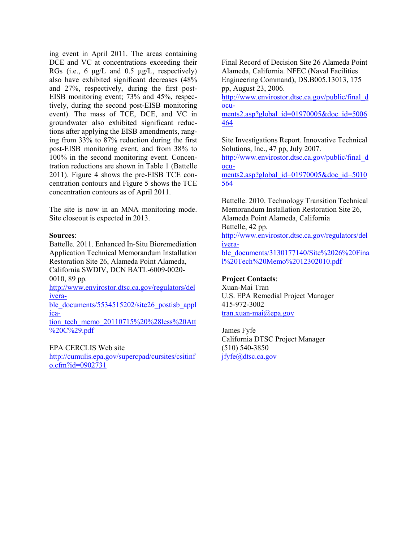ing event in April 2011. The areas containing DCE and VC at concentrations exceeding their RGs (i.e., 6  $\mu$ g/L and 0.5  $\mu$ g/L, respectively) also have exhibited significant decreases (48% and 27%, respectively, during the first post-EISB monitoring event; 73% and 45%, respectively, during the second post-EISB monitoring event). The mass of TCE, DCE, and VC in groundwater also exhibited significant reductions after applying the EISB amendments, ranging from 33% to 87% reduction during the first post-EISB monitoring event, and from 38% to 100% in the second monitoring event. Concentration reductions are shown in Table 1 (Battelle 2011). Figure 4 shows the pre-EISB TCE concentration contours and Figure 5 shows the TCE concentration contours as of April 2011.

The site is now in an MNA monitoring mode. Site closeout is expected in 2013.

#### **Sources**:

Battelle. 2011. Enhanced In-Situ Bioremediation Application Technical Memorandum Installation Restoration Site 26, Alameda Point Alameda, California SWDIV, DCN BATL-6009-0020- 0010, 89 pp.

[http://www.envirostor.dtsc.ca.gov/regulators/del](http://www.envirostor.dtsc.ca.gov/regulators/deliverable_documents/5534515202/site26_postisb_application_tech_memo_20110715%20%28less%20Att%20C%29.pdf) [ivera-](http://www.envirostor.dtsc.ca.gov/regulators/deliverable_documents/5534515202/site26_postisb_application_tech_memo_20110715%20%28less%20Att%20C%29.pdf)

[ble\\_documents/5534515202/site26\\_postisb\\_appl](http://www.envirostor.dtsc.ca.gov/regulators/deliverable_documents/5534515202/site26_postisb_application_tech_memo_20110715%20%28less%20Att%20C%29.pdf) [ica-](http://www.envirostor.dtsc.ca.gov/regulators/deliverable_documents/5534515202/site26_postisb_application_tech_memo_20110715%20%28less%20Att%20C%29.pdf)

[tion\\_tech\\_memo\\_20110715%20%28less%20Att](http://www.envirostor.dtsc.ca.gov/regulators/deliverable_documents/5534515202/site26_postisb_application_tech_memo_20110715%20%28less%20Att%20C%29.pdf) [%20C%29.pdf](http://www.envirostor.dtsc.ca.gov/regulators/deliverable_documents/5534515202/site26_postisb_application_tech_memo_20110715%20%28less%20Att%20C%29.pdf)

#### EPA CERCLIS Web site

[http://cumulis.epa.gov/supercpad/cursites/csitinf](http://cumulis.epa.gov/supercpad/cursites/csitinfo.cfm?id=0902731) [o.cfm?id=0902731](http://cumulis.epa.gov/supercpad/cursites/csitinfo.cfm?id=0902731)

Final Record of Decision Site 26 Alameda Point Alameda, California. NFEC (Naval Facilities Engineering Command), DS.B005.13013, 175 pp, August 23, 2006.

[http://www.envirostor.dtsc.ca.gov/public/final\\_d](http://www.envirostor.dtsc.ca.gov/public/final_documents2.asp?global_id=01970005&doc_id=5006464) [ocu-](http://www.envirostor.dtsc.ca.gov/public/final_documents2.asp?global_id=01970005&doc_id=5006464)

[ments2.asp?global\\_id=01970005&doc\\_id=5006](http://www.envirostor.dtsc.ca.gov/public/final_documents2.asp?global_id=01970005&doc_id=5006464) [464](http://www.envirostor.dtsc.ca.gov/public/final_documents2.asp?global_id=01970005&doc_id=5006464)

Site Investigations Report. Innovative Technical Solutions, Inc., 47 pp, July 2007.

[http://www.envirostor.dtsc.ca.gov/public/final\\_d](http://www.envirostor.dtsc.ca.gov/public/final_documents2.asp?global_id=01970005&doc_id=5010564) [ocu-](http://www.envirostor.dtsc.ca.gov/public/final_documents2.asp?global_id=01970005&doc_id=5010564)

[ments2.asp?global\\_id=01970005&doc\\_id=5010](http://www.envirostor.dtsc.ca.gov/public/final_documents2.asp?global_id=01970005&doc_id=5010564) [564](http://www.envirostor.dtsc.ca.gov/public/final_documents2.asp?global_id=01970005&doc_id=5010564)

Battelle. 2010. Technology Transition Technical Memorandum Installation Restoration Site 26, Alameda Point Alameda, California Battelle, 42 pp. [http://www.envirostor.dtsc.ca.gov/regulators/del](http://www.envirostor.dtsc.ca.gov/regulators/deliverable_documents/3130177140/Site%2026%20Final%20Tech%20Memo%2012302010.pdf) [ivera](http://www.envirostor.dtsc.ca.gov/regulators/deliverable_documents/3130177140/Site%2026%20Final%20Tech%20Memo%2012302010.pdf)[ble\\_documents/3130177140/Site%2026%20Fina](http://www.envirostor.dtsc.ca.gov/regulators/deliverable_documents/3130177140/Site%2026%20Final%20Tech%20Memo%2012302010.pdf) [l%20Tech%20Memo%2012302010.pdf](http://www.envirostor.dtsc.ca.gov/regulators/deliverable_documents/3130177140/Site%2026%20Final%20Tech%20Memo%2012302010.pdf)

### **Project Contacts**:

Xuan-Mai Tran U.S. EPA Remedial Project Manager 415-972-3002 [tran.xuan-mai@epa.gov](mailto:tran.xuan-mai@epa.gov)

James Fyfe California DTSC Project Manager (510) 540-3850 [jfyfe@dtsc.ca.gov](mailto:jfyfe@dtsc.ca.gov)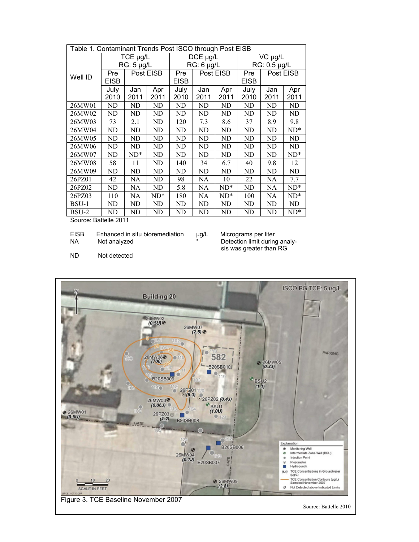| Table 1. Contaminant Trends Post ISCO through Post EISB |                 |           |        |              |           |           |              |           |        |
|---------------------------------------------------------|-----------------|-----------|--------|--------------|-----------|-----------|--------------|-----------|--------|
| Well ID                                                 | TCE µg/L        |           |        | DCE µg/L     |           |           | VC µg/L      |           |        |
|                                                         | $RG: 5 \mu g/L$ |           |        | $RG: 6$ µg/L |           |           | RG: 0.5 µg/L |           |        |
|                                                         | Pre             | Post EISB |        | Pre          | Post EISB |           | Pre          | Post EISB |        |
|                                                         | <b>EISB</b>     |           |        | <b>EISB</b>  |           |           | <b>EISB</b>  |           |        |
|                                                         | July            | Jan       | Apr    | July         | Jan       | Apr       | July         | Jan       | Apr    |
|                                                         | 2010            | 2011      | 2011   | 2010         | 2011      | 2011      | 2010         | 2011      | 2011   |
| 26MW01                                                  | ND              | ND        | ND     | ND           | ND        | ND        | ND           | ND        | ND     |
| 26MW02                                                  | ND              | ND        | ND     | <b>ND</b>    | ND        | <b>ND</b> | ND           | <b>ND</b> | ND     |
| 26MW03                                                  | 73              | 2.1       | ND     | 120          | 7.3       | 8.6       | 37           | 8.9       | 9.8    |
| 26MW04                                                  | ND              | ND        | ND     | ND           | ND        | ND        | ND           | ND        | $ND^*$ |
| 26MW05                                                  | ND              | ND        | ND     | ND           | ND        | ND        | ND           | ND        | ND     |
| 26MW06                                                  | ND              | ND        | ND     | ND           | ND        | ND        | ND           | ND        | ND     |
| 26MW07                                                  | ND              | $ND^*$    | ND     | ND           | ND        | ND        | ND           | ND        | $ND^*$ |
| 26MW08                                                  | 58              | 11        | ND     | 140          | 34        | 6.7       | 40           | 9.8       | 12     |
| 26MW09                                                  | ND              | ND        | ND     | ND           | ND        | ND        | ND           | ND        | ND     |
| 26PZ01                                                  | 42              | NA        | ND     | 98           | <b>NA</b> | 10        | 22           | NA        | 7.7    |
| 26PZ02                                                  | ND              | NA        | ND     | 5.8          | NA        | $ND^*$    | ND           | NA        | $ND^*$ |
| 26PZ03                                                  | 110             | NA        | $ND^*$ | 180          | NA        | $ND^*$    | 100          | NA        | $ND^*$ |
| BSU-1                                                   | ND              | ND        | ND     | ND           | ND        | ND        | ND           | ND        | ND     |
| BSU-2                                                   | ND              | ND        | ND     | ND           | ND        | ND        | ND           | ND        | $ND^*$ |

Source: Battelle 2011

EISB Enhanced in situ bioremediation <br>NA Not analyzed **the match of the end of the NA** Detection limit during

Detection limit during analysis was greater than RG

ND Not detected